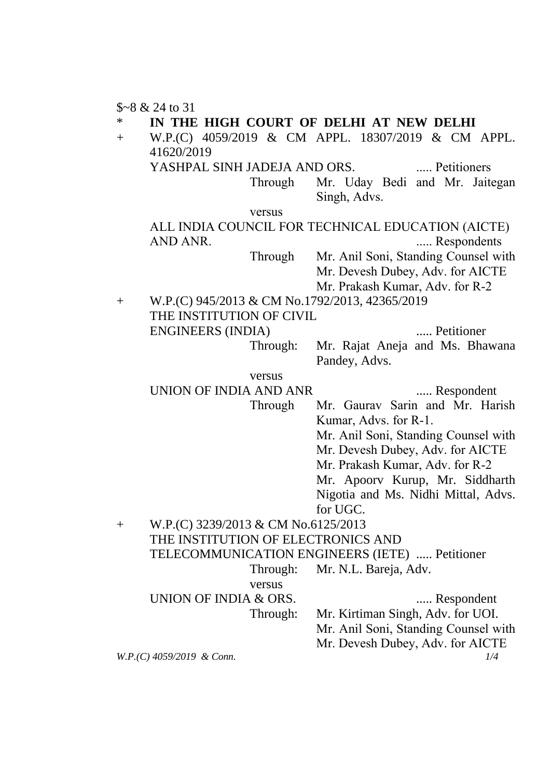\$~8 & 24 to 31

IN THE HIGH COURT OF DELHI AT NEW DELHI

+ W.P.(C) 4059/2019 & CM APPL. 18307/2019 & CM APPL. 41620/2019

YASHPAL SINH JADEJA AND ORS. ..... Petitioners

Through Mr. Uday Bedi and Mr. Jaitegan Singh, Advs.

versus

#### ALL INDIA COUNCIL FOR TECHNICAL EDUCATION (AICTE) AND ANR. ..... Respondents

Through Mr. Anil Soni, Standing Counsel with Mr. Devesh Dubey, Adv. for AICTE

Mr. Prakash Kumar, Adv. for R-2

+ W.P.(C) 945/2013 & CM No.1792/2013, 42365/2019 THE INSTITUTION OF CIVIL ENGINEERS (INDIA) ..... Petitioner

Through: Mr. Rajat Aneja and Ms. Bhawana Pandey, Advs.

#### versus

UNION OF INDIA AND ANR ..... Respondent

Through Mr. Gaurav Sarin and Mr. Harish Kumar, Advs. for R-1.

Mr. Anil Soni, Standing Counsel with

Mr. Devesh Dubey, Adv. for AICTE

Mr. Prakash Kumar, Adv. for R-2

Mr. Apoorv Kurup, Mr. Siddharth Nigotia and Ms. Nidhi Mittal, Advs. for UGC.

# + W.P.(C) 3239/2013 & CM No.6125/2013 THE INSTITUTION OF ELECTRONICS AND

TELECOMMUNICATION ENGINEERS (IETE) ..... Petitioner

Through: Mr. N.L. Bareja, Adv.

versus

UNION OF INDIA & ORS. ...... Respondent

Through: Mr. Kirtiman Singh, Adv. for UOI.

Mr. Anil Soni, Standing Counsel with

Mr. Devesh Dubey, Adv. for AICTE

*W.P.(C) 4059/2019 & Conn. 1/4*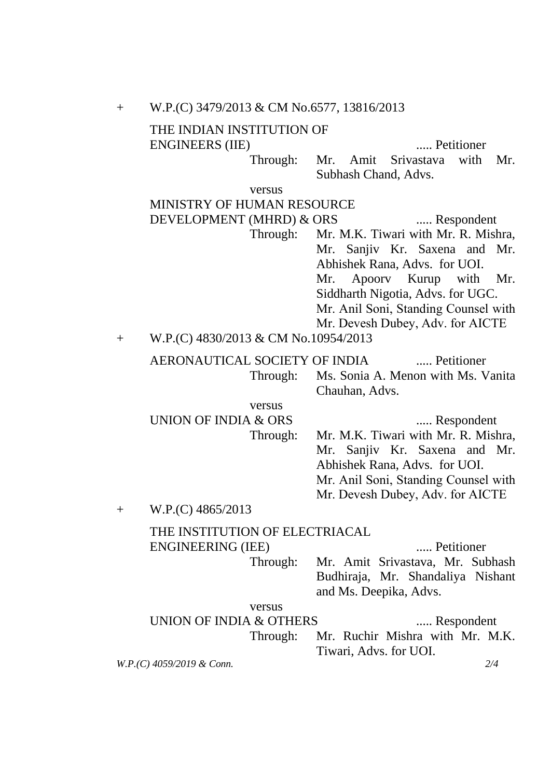| $+$                       | W.P.(C) 3479/2013 & CM No.6577, 13816/2013                             |                                                                                                                                                                                                                                                           |
|---------------------------|------------------------------------------------------------------------|-----------------------------------------------------------------------------------------------------------------------------------------------------------------------------------------------------------------------------------------------------------|
|                           | THE INDIAN INSTITUTION OF<br><b>ENGINEERS</b> (IIE)                    | Petitioner                                                                                                                                                                                                                                                |
|                           | Through:                                                               | Amit Srivastava<br>with<br>Mr.<br>Mr.<br>Subhash Chand, Advs.                                                                                                                                                                                             |
|                           | versus                                                                 |                                                                                                                                                                                                                                                           |
|                           | MINISTRY OF HUMAN RESOURCE                                             |                                                                                                                                                                                                                                                           |
|                           | DEVELOPMENT (MHRD) & ORS                                               | Respondent                                                                                                                                                                                                                                                |
|                           | Through:                                                               | Mr. M.K. Tiwari with Mr. R. Mishra,<br>Mr. Sanjiv Kr. Saxena and Mr.<br>Abhishek Rana, Advs. for UOI.<br>Apoory Kurup with<br>Mr.<br>Mr.<br>Siddharth Nigotia, Advs. for UGC.<br>Mr. Anil Soni, Standing Counsel with<br>Mr. Devesh Dubey, Adv. for AICTE |
| $^{+}$                    | W.P.(C) 4830/2013 & CM No.10954/2013                                   |                                                                                                                                                                                                                                                           |
|                           | AERONAUTICAL SOCIETY OF INDIA<br>Through:                              | Petitioner<br>Ms. Sonia A. Menon with Ms. Vanita<br>Chauhan, Advs.                                                                                                                                                                                        |
|                           | versus                                                                 |                                                                                                                                                                                                                                                           |
|                           | <b>UNION OF INDIA &amp; ORS</b><br>Through:                            | Respondent<br>Mr. M.K. Tiwari with Mr. R. Mishra,<br>Mr. Sanjiv Kr. Saxena and Mr.<br>Abhishek Rana, Advs. for UOI.<br>Mr. Anil Soni, Standing Counsel with<br>Mr. Devesh Dubey, Adv. for AICTE                                                           |
| $^{+}$                    | W.P.(C) 4865/2013                                                      |                                                                                                                                                                                                                                                           |
|                           | THE INSTITUTION OF ELECTRIACAL<br><b>ENGINEERING (IEE)</b><br>Through: | Petitioner<br>Mr. Amit Srivastava, Mr. Subhash<br>Budhiraja, Mr. Shandaliya Nishant                                                                                                                                                                       |
|                           |                                                                        | and Ms. Deepika, Advs.                                                                                                                                                                                                                                    |
|                           | versus                                                                 |                                                                                                                                                                                                                                                           |
|                           | UNION OF INDIA & OTHERS                                                | Respondent<br>Mr. Ruchir Mishra with Mr. M.K.                                                                                                                                                                                                             |
|                           | Through:                                                               | Tiwari, Advs. for UOI.                                                                                                                                                                                                                                    |
| W.P.(C) 4059/2019 & Conn. |                                                                        | 2/4                                                                                                                                                                                                                                                       |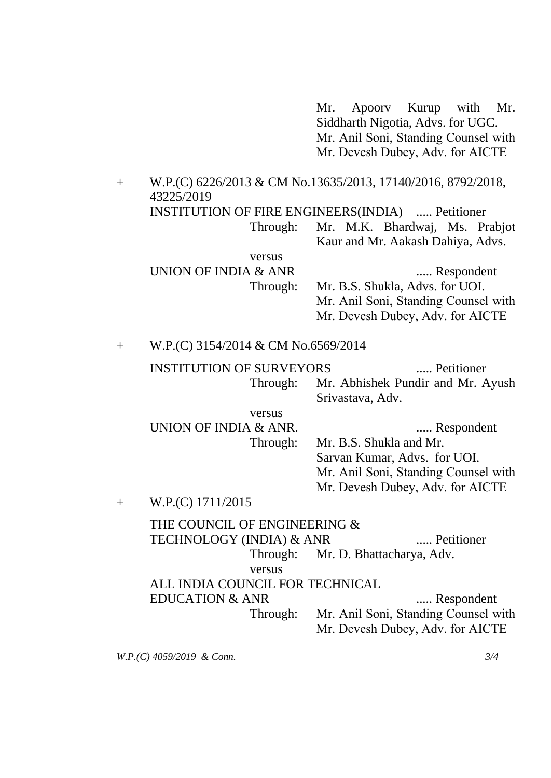Mr. Apoorv Kurup with Mr. Siddharth Nigotia, Advs. for UGC. Mr. Anil Soni, Standing Counsel with Mr. Devesh Dubey, Adv. for AICTE

+ W.P.(C) 6226/2013 & CM No.13635/2013, 17140/2016, 8792/2018, 43225/2019 INSTITUTION OF FIRE ENGINEERS(INDIA) ..... Petitioner Through: Mr. M.K. Bhardwaj, Ms. Prabjot Kaur and Mr. Aakash Dahiya, Advs. versus UNION OF INDIA & ANR ...... Respondent Through: Mr. B.S. Shukla, Advs. for UOI. Mr. Anil Soni, Standing Counsel with Mr. Devesh Dubey, Adv. for AICTE

+ W.P.(C) 3154/2014 & CM No.6569/2014

INSTITUTION OF SURVEYORS ..... Petitioner Through: Mr. Abhishek Pundir and Mr. Ayush Srivastava, Adv.

versus UNION OF INDIA & ANR. ...... Respondent Through: Mr. B.S. Shukla and Mr. Sarvan Kumar, Advs. for UOI. Mr. Anil Soni, Standing Counsel with Mr. Devesh Dubey, Adv. for AICTE

+ W.P.(C) 1711/2015

THE COUNCIL OF ENGINEERING & TECHNOLOGY (INDIA) & ANR ...... Petitioner Through: Mr. D. Bhattacharya, Adv. versus

ALL INDIA COUNCIL FOR TECHNICAL

EDUCATION & ANR ...... Respondent Through: Mr. Anil Soni, Standing Counsel with

Mr. Devesh Dubey, Adv. for AICTE

*W.P.(C) 4059/2019 & Conn. 3/4*